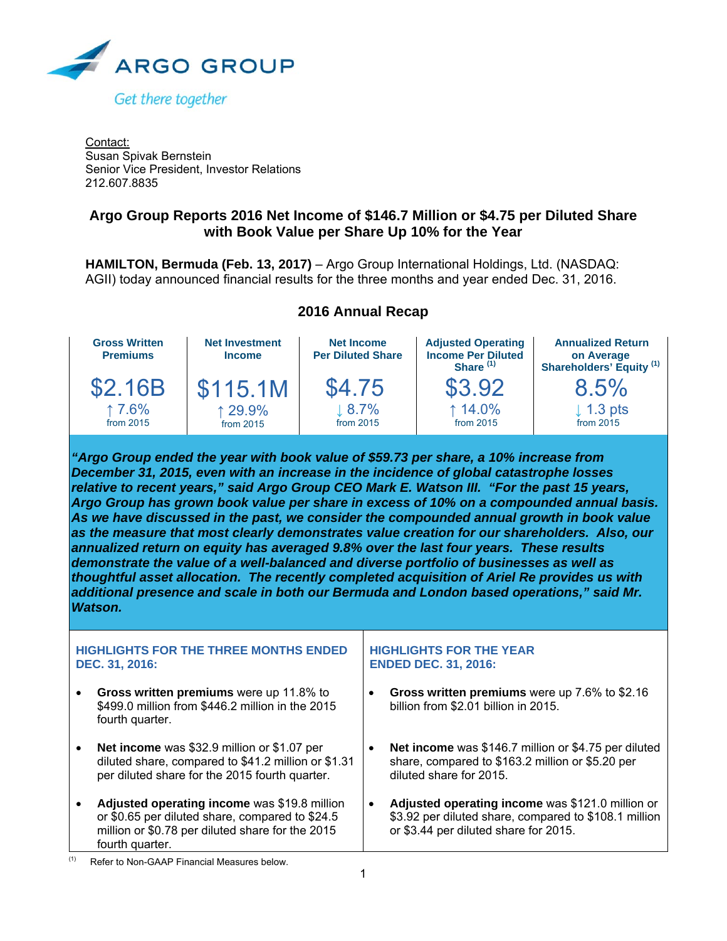

Contact: Susan Spivak Bernstein Senior Vice President, Investor Relations 212.607.8835

# **Argo Group Reports 2016 Net Income of \$146.7 Million or \$4.75 per Diluted Share with Book Value per Share Up 10% for the Year**

**HAMILTON, Bermuda (Feb. 13, 2017)** – Argo Group International Holdings, Ltd. (NASDAQ: AGII) today announced financial results for the three months and year ended Dec. 31, 2016.



**2016 Annual Recap** 

*"Argo Group ended the year with book value of \$59.73 per share, a 10% increase from December 31, 2015, even with an increase in the incidence of global catastrophe losses relative to recent years," said Argo Group CEO Mark E. Watson III. "For the past 15 years, Argo Group has grown book value per share in excess of 10% on a compounded annual basis. As we have discussed in the past, we consider the compounded annual growth in book value as the measure that most clearly demonstrates value creation for our shareholders. Also, our annualized return on equity has averaged 9.8% over the last four years. These results demonstrate the value of a well-balanced and diverse portfolio of businesses as well as thoughtful asset allocation. The recently completed acquisition of Ariel Re provides us with additional presence and scale in both our Bermuda and London based operations," said Mr. Watson.* 

| <b>HIGHLIGHTS FOR THE THREE MONTHS ENDED</b><br>DEC. 31, 2016: |                                                                                                                                                                        |           | <b>HIGHLIGHTS FOR THE YEAR</b><br><b>ENDED DEC. 31, 2016:</b>                                                                                      |  |  |  |  |  |  |
|----------------------------------------------------------------|------------------------------------------------------------------------------------------------------------------------------------------------------------------------|-----------|----------------------------------------------------------------------------------------------------------------------------------------------------|--|--|--|--|--|--|
|                                                                | Gross written premiums were up 11.8% to<br>\$499.0 million from \$446.2 million in the 2015<br>fourth quarter.                                                         | $\bullet$ | Gross written premiums were up 7.6% to \$2.16<br>billion from \$2.01 billion in 2015.                                                              |  |  |  |  |  |  |
| $\bullet$                                                      | Net income was \$32.9 million or \$1.07 per<br>diluted share, compared to \$41.2 million or \$1.31<br>per diluted share for the 2015 fourth quarter.                   |           | Net income was \$146.7 million or \$4.75 per diluted<br>share, compared to \$163.2 million or \$5.20 per<br>diluted share for 2015.                |  |  |  |  |  |  |
|                                                                | Adjusted operating income was \$19.8 million<br>or \$0.65 per diluted share, compared to \$24.5<br>million or \$0.78 per diluted share for the 2015<br>fourth quarter. |           | Adjusted operating income was \$121.0 million or<br>\$3.92 per diluted share, compared to \$108.1 million<br>or \$3.44 per diluted share for 2015. |  |  |  |  |  |  |

(1) Refer to Non-GAAP Financial Measures below.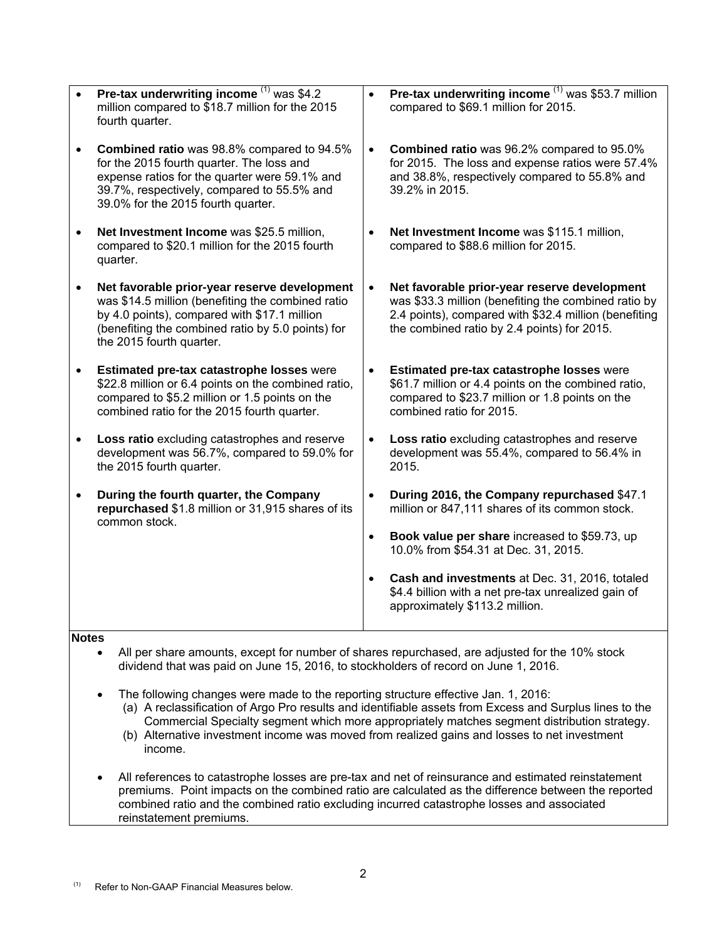|              | Pre-tax underwriting income (1) was \$4.2<br>million compared to \$18.7 million for the 2015<br>fourth quarter.                                                                                                                    | $\bullet$ | Pre-tax underwriting income (1) was \$53.7 million<br>compared to \$69.1 million for 2015.                                                                                                                   |
|--------------|------------------------------------------------------------------------------------------------------------------------------------------------------------------------------------------------------------------------------------|-----------|--------------------------------------------------------------------------------------------------------------------------------------------------------------------------------------------------------------|
| $\bullet$    | Combined ratio was 98.8% compared to 94.5%<br>for the 2015 fourth quarter. The loss and<br>expense ratios for the quarter were 59.1% and<br>39.7%, respectively, compared to 55.5% and<br>39.0% for the 2015 fourth quarter.       | $\bullet$ | Combined ratio was 96.2% compared to 95.0%<br>for 2015. The loss and expense ratios were 57.4%<br>and 38.8%, respectively compared to 55.8% and<br>39.2% in 2015.                                            |
|              | Net Investment Income was \$25.5 million,<br>compared to \$20.1 million for the 2015 fourth<br>quarter.                                                                                                                            | $\bullet$ | Net Investment Income was \$115.1 million,<br>compared to \$88.6 million for 2015.                                                                                                                           |
| $\bullet$    | Net favorable prior-year reserve development<br>was \$14.5 million (benefiting the combined ratio<br>by 4.0 points), compared with \$17.1 million<br>(benefiting the combined ratio by 5.0 points) for<br>the 2015 fourth quarter. | $\bullet$ | Net favorable prior-year reserve development<br>was \$33.3 million (benefiting the combined ratio by<br>2.4 points), compared with \$32.4 million (benefiting<br>the combined ratio by 2.4 points) for 2015. |
|              | Estimated pre-tax catastrophe losses were<br>\$22.8 million or 6.4 points on the combined ratio,<br>compared to \$5.2 million or 1.5 points on the<br>combined ratio for the 2015 fourth quarter.                                  | $\bullet$ | Estimated pre-tax catastrophe losses were<br>\$61.7 million or 4.4 points on the combined ratio,<br>compared to \$23.7 million or 1.8 points on the<br>combined ratio for 2015.                              |
|              | Loss ratio excluding catastrophes and reserve<br>development was 56.7%, compared to 59.0% for<br>the 2015 fourth quarter.                                                                                                          | $\bullet$ | Loss ratio excluding catastrophes and reserve<br>development was 55.4%, compared to 56.4% in<br>2015.                                                                                                        |
|              | During the fourth quarter, the Company<br>repurchased \$1.8 million or 31,915 shares of its<br>common stock.                                                                                                                       | $\bullet$ | During 2016, the Company repurchased \$47.1<br>million or 847,111 shares of its common stock.                                                                                                                |
|              |                                                                                                                                                                                                                                    | $\bullet$ | Book value per share increased to \$59.73, up<br>10.0% from \$54.31 at Dec. 31, 2015.                                                                                                                        |
|              |                                                                                                                                                                                                                                    | $\bullet$ | Cash and investments at Dec. 31, 2016, totaled<br>\$4.4 billion with a net pre-tax unrealized gain of<br>approximately \$113.2 million.                                                                      |
| <b>Notes</b> |                                                                                                                                                                                                                                    |           |                                                                                                                                                                                                              |

 $P_2(1)$  was  $R_4.2$ 

 All per share amounts, except for number of shares repurchased, are adjusted for the 10% stock dividend that was paid on June 15, 2016, to stockholders of record on June 1, 2016.

The following changes were made to the reporting structure effective Jan. 1, 2016:

- (a) A reclassification of Argo Pro results and identifiable assets from Excess and Surplus lines to the Commercial Specialty segment which more appropriately matches segment distribution strategy.
- (b) Alternative investment income was moved from realized gains and losses to net investment income.
- All references to catastrophe losses are pre-tax and net of reinsurance and estimated reinstatement premiums. Point impacts on the combined ratio are calculated as the difference between the reported combined ratio and the combined ratio excluding incurred catastrophe losses and associated reinstatement premiums.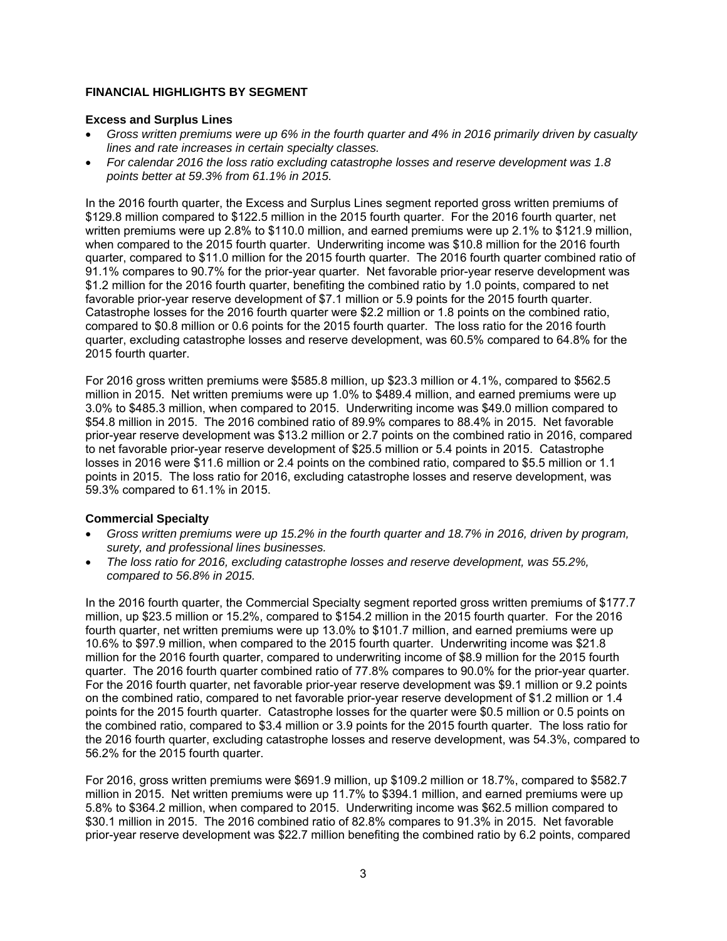## **FINANCIAL HIGHLIGHTS BY SEGMENT**

#### **Excess and Surplus Lines**

- *Gross written premiums were up 6% in the fourth quarter and 4% in 2016 primarily driven by casualty lines and rate increases in certain specialty classes.*
- *For calendar 2016 the loss ratio excluding catastrophe losses and reserve development was 1.8 points better at 59.3% from 61.1% in 2015.*

In the 2016 fourth quarter, the Excess and Surplus Lines segment reported gross written premiums of \$129.8 million compared to \$122.5 million in the 2015 fourth quarter. For the 2016 fourth quarter, net written premiums were up 2.8% to \$110.0 million, and earned premiums were up 2.1% to \$121.9 million, when compared to the 2015 fourth quarter. Underwriting income was \$10.8 million for the 2016 fourth quarter, compared to \$11.0 million for the 2015 fourth quarter. The 2016 fourth quarter combined ratio of 91.1% compares to 90.7% for the prior-year quarter. Net favorable prior-year reserve development was \$1.2 million for the 2016 fourth quarter, benefiting the combined ratio by 1.0 points, compared to net favorable prior-year reserve development of \$7.1 million or 5.9 points for the 2015 fourth quarter. Catastrophe losses for the 2016 fourth quarter were \$2.2 million or 1.8 points on the combined ratio, compared to \$0.8 million or 0.6 points for the 2015 fourth quarter. The loss ratio for the 2016 fourth quarter, excluding catastrophe losses and reserve development, was 60.5% compared to 64.8% for the 2015 fourth quarter.

For 2016 gross written premiums were \$585.8 million, up \$23.3 million or 4.1%, compared to \$562.5 million in 2015. Net written premiums were up 1.0% to \$489.4 million, and earned premiums were up 3.0% to \$485.3 million, when compared to 2015. Underwriting income was \$49.0 million compared to \$54.8 million in 2015. The 2016 combined ratio of 89.9% compares to 88.4% in 2015. Net favorable prior-year reserve development was \$13.2 million or 2.7 points on the combined ratio in 2016, compared to net favorable prior-year reserve development of \$25.5 million or 5.4 points in 2015. Catastrophe losses in 2016 were \$11.6 million or 2.4 points on the combined ratio, compared to \$5.5 million or 1.1 points in 2015. The loss ratio for 2016, excluding catastrophe losses and reserve development, was 59.3% compared to 61.1% in 2015.

#### **Commercial Specialty**

- *Gross written premiums were up 15.2% in the fourth quarter and 18.7% in 2016, driven by program, surety, and professional lines businesses.*
- *The loss ratio for 2016, excluding catastrophe losses and reserve development, was 55.2%, compared to 56.8% in 2015.*

In the 2016 fourth quarter, the Commercial Specialty segment reported gross written premiums of \$177.7 million, up \$23.5 million or 15.2%, compared to \$154.2 million in the 2015 fourth quarter. For the 2016 fourth quarter, net written premiums were up 13.0% to \$101.7 million, and earned premiums were up 10.6% to \$97.9 million, when compared to the 2015 fourth quarter. Underwriting income was \$21.8 million for the 2016 fourth quarter, compared to underwriting income of \$8.9 million for the 2015 fourth quarter. The 2016 fourth quarter combined ratio of 77.8% compares to 90.0% for the prior-year quarter. For the 2016 fourth quarter, net favorable prior-year reserve development was \$9.1 million or 9.2 points on the combined ratio, compared to net favorable prior-year reserve development of \$1.2 million or 1.4 points for the 2015 fourth quarter. Catastrophe losses for the quarter were \$0.5 million or 0.5 points on the combined ratio, compared to \$3.4 million or 3.9 points for the 2015 fourth quarter. The loss ratio for the 2016 fourth quarter, excluding catastrophe losses and reserve development, was 54.3%, compared to 56.2% for the 2015 fourth quarter.

For 2016, gross written premiums were \$691.9 million, up \$109.2 million or 18.7%, compared to \$582.7 million in 2015. Net written premiums were up 11.7% to \$394.1 million, and earned premiums were up 5.8% to \$364.2 million, when compared to 2015. Underwriting income was \$62.5 million compared to \$30.1 million in 2015. The 2016 combined ratio of 82.8% compares to 91.3% in 2015. Net favorable prior-year reserve development was \$22.7 million benefiting the combined ratio by 6.2 points, compared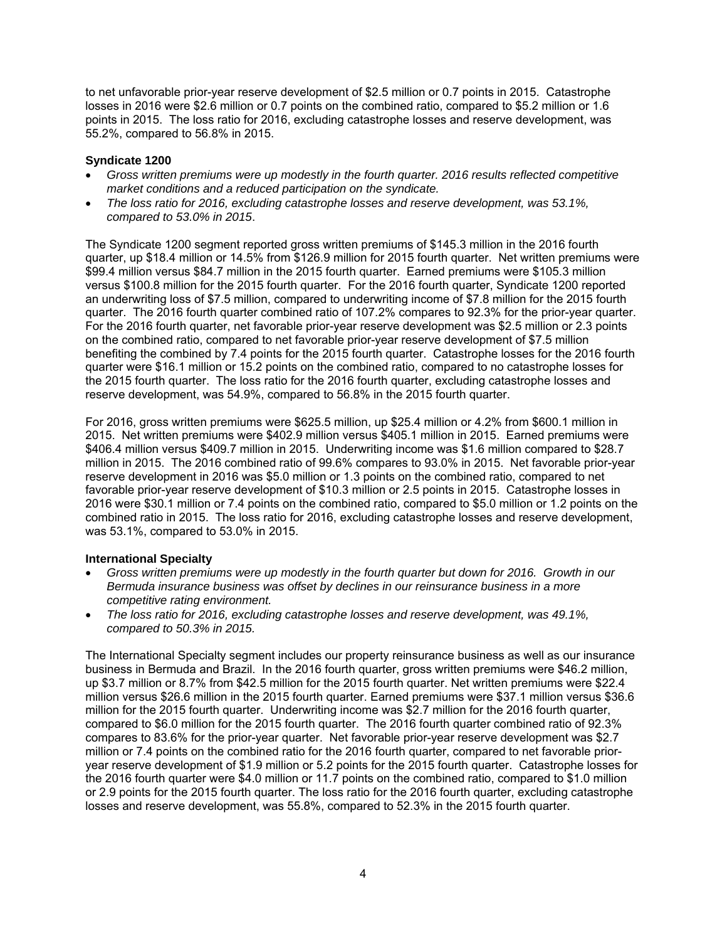to net unfavorable prior-year reserve development of \$2.5 million or 0.7 points in 2015. Catastrophe losses in 2016 were \$2.6 million or 0.7 points on the combined ratio, compared to \$5.2 million or 1.6 points in 2015. The loss ratio for 2016, excluding catastrophe losses and reserve development, was 55.2%, compared to 56.8% in 2015.

## **Syndicate 1200**

- *Gross written premiums were up modestly in the fourth quarter. 2016 results reflected competitive market conditions and a reduced participation on the syndicate.*
- *The loss ratio for 2016, excluding catastrophe losses and reserve development, was 53.1%, compared to 53.0% in 2015*.

The Syndicate 1200 segment reported gross written premiums of \$145.3 million in the 2016 fourth quarter, up \$18.4 million or 14.5% from \$126.9 million for 2015 fourth quarter. Net written premiums were \$99.4 million versus \$84.7 million in the 2015 fourth quarter. Earned premiums were \$105.3 million versus \$100.8 million for the 2015 fourth quarter. For the 2016 fourth quarter, Syndicate 1200 reported an underwriting loss of \$7.5 million, compared to underwriting income of \$7.8 million for the 2015 fourth quarter. The 2016 fourth quarter combined ratio of 107.2% compares to 92.3% for the prior-year quarter. For the 2016 fourth quarter, net favorable prior-year reserve development was \$2.5 million or 2.3 points on the combined ratio, compared to net favorable prior-year reserve development of \$7.5 million benefiting the combined by 7.4 points for the 2015 fourth quarter. Catastrophe losses for the 2016 fourth quarter were \$16.1 million or 15.2 points on the combined ratio, compared to no catastrophe losses for the 2015 fourth quarter. The loss ratio for the 2016 fourth quarter, excluding catastrophe losses and reserve development, was 54.9%, compared to 56.8% in the 2015 fourth quarter.

For 2016, gross written premiums were \$625.5 million, up \$25.4 million or 4.2% from \$600.1 million in 2015. Net written premiums were \$402.9 million versus \$405.1 million in 2015. Earned premiums were \$406.4 million versus \$409.7 million in 2015. Underwriting income was \$1.6 million compared to \$28.7 million in 2015. The 2016 combined ratio of 99.6% compares to 93.0% in 2015. Net favorable prior-year reserve development in 2016 was \$5.0 million or 1.3 points on the combined ratio, compared to net favorable prior-year reserve development of \$10.3 million or 2.5 points in 2015. Catastrophe losses in 2016 were \$30.1 million or 7.4 points on the combined ratio, compared to \$5.0 million or 1.2 points on the combined ratio in 2015. The loss ratio for 2016, excluding catastrophe losses and reserve development, was 53.1%, compared to 53.0% in 2015.

#### **International Specialty**

- *Gross written premiums were up modestly in the fourth quarter but down for 2016. Growth in our Bermuda insurance business was offset by declines in our reinsurance business in a more competitive rating environment.*
- *The loss ratio for 2016, excluding catastrophe losses and reserve development, was 49.1%, compared to 50.3% in 2015.*

The International Specialty segment includes our property reinsurance business as well as our insurance business in Bermuda and Brazil. In the 2016 fourth quarter, gross written premiums were \$46.2 million, up \$3.7 million or 8.7% from \$42.5 million for the 2015 fourth quarter. Net written premiums were \$22.4 million versus \$26.6 million in the 2015 fourth quarter. Earned premiums were \$37.1 million versus \$36.6 million for the 2015 fourth quarter. Underwriting income was \$2.7 million for the 2016 fourth quarter, compared to \$6.0 million for the 2015 fourth quarter. The 2016 fourth quarter combined ratio of 92.3% compares to 83.6% for the prior-year quarter. Net favorable prior-year reserve development was \$2.7 million or 7.4 points on the combined ratio for the 2016 fourth quarter, compared to net favorable prioryear reserve development of \$1.9 million or 5.2 points for the 2015 fourth quarter. Catastrophe losses for the 2016 fourth quarter were \$4.0 million or 11.7 points on the combined ratio, compared to \$1.0 million or 2.9 points for the 2015 fourth quarter. The loss ratio for the 2016 fourth quarter, excluding catastrophe losses and reserve development, was 55.8%, compared to 52.3% in the 2015 fourth quarter.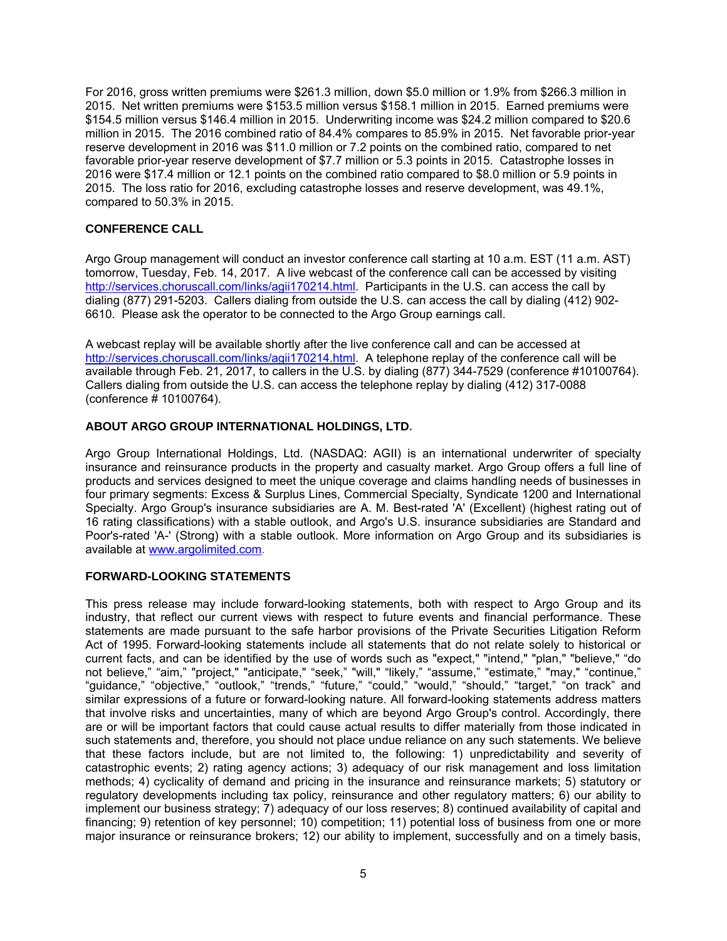For 2016, gross written premiums were \$261.3 million, down \$5.0 million or 1.9% from \$266.3 million in 2015. Net written premiums were \$153.5 million versus \$158.1 million in 2015. Earned premiums were \$154.5 million versus \$146.4 million in 2015. Underwriting income was \$24.2 million compared to \$20.6 million in 2015. The 2016 combined ratio of 84.4% compares to 85.9% in 2015. Net favorable prior-year reserve development in 2016 was \$11.0 million or 7.2 points on the combined ratio, compared to net favorable prior-year reserve development of \$7.7 million or 5.3 points in 2015. Catastrophe losses in 2016 were \$17.4 million or 12.1 points on the combined ratio compared to \$8.0 million or 5.9 points in 2015. The loss ratio for 2016, excluding catastrophe losses and reserve development, was 49.1%, compared to 50.3% in 2015.

## **CONFERENCE CALL**

Argo Group management will conduct an investor conference call starting at 10 a.m. EST (11 a.m. AST) tomorrow, Tuesday, Feb. 14, 2017. A live webcast of the conference call can be accessed by visiting http://services.choruscall.com/links/agii170214.html. Participants in the U.S. can access the call by dialing (877) 291-5203. Callers dialing from outside the U.S. can access the call by dialing (412) 902- 6610. Please ask the operator to be connected to the Argo Group earnings call.

A webcast replay will be available shortly after the live conference call and can be accessed at http://services.choruscall.com/links/agii170214.html. A telephone replay of the conference call will be available through Feb. 21, 2017, to callers in the U.S. by dialing (877) 344-7529 (conference #10100764). Callers dialing from outside the U.S. can access the telephone replay by dialing (412) 317-0088 (conference # 10100764).

## **ABOUT ARGO GROUP INTERNATIONAL HOLDINGS, LTD.**

Argo Group International Holdings, Ltd. (NASDAQ: AGII) is an international underwriter of specialty insurance and reinsurance products in the property and casualty market. Argo Group offers a full line of products and services designed to meet the unique coverage and claims handling needs of businesses in four primary segments: Excess & Surplus Lines, Commercial Specialty, Syndicate 1200 and International Specialty. Argo Group's insurance subsidiaries are A. M. Best-rated 'A' (Excellent) (highest rating out of 16 rating classifications) with a stable outlook, and Argo's U.S. insurance subsidiaries are Standard and Poor's-rated 'A-' (Strong) with a stable outlook. More information on Argo Group and its subsidiaries is available at www.argolimited.com.

#### **FORWARD-LOOKING STATEMENTS**

This press release may include forward-looking statements, both with respect to Argo Group and its industry, that reflect our current views with respect to future events and financial performance. These statements are made pursuant to the safe harbor provisions of the Private Securities Litigation Reform Act of 1995. Forward-looking statements include all statements that do not relate solely to historical or current facts, and can be identified by the use of words such as "expect," "intend," "plan," "believe," "do not believe," "aim," "project," "anticipate," "seek," "will," "likely," "assume," "estimate," "may," "continue," "guidance," "objective," "outlook," "trends," "future," "could," "would," "should," "target," "on track" and similar expressions of a future or forward-looking nature. All forward-looking statements address matters that involve risks and uncertainties, many of which are beyond Argo Group's control. Accordingly, there are or will be important factors that could cause actual results to differ materially from those indicated in such statements and, therefore, you should not place undue reliance on any such statements. We believe that these factors include, but are not limited to, the following: 1) unpredictability and severity of catastrophic events; 2) rating agency actions; 3) adequacy of our risk management and loss limitation methods; 4) cyclicality of demand and pricing in the insurance and reinsurance markets; 5) statutory or regulatory developments including tax policy, reinsurance and other regulatory matters; 6) our ability to implement our business strategy; 7) adequacy of our loss reserves; 8) continued availability of capital and financing; 9) retention of key personnel; 10) competition; 11) potential loss of business from one or more major insurance or reinsurance brokers; 12) our ability to implement, successfully and on a timely basis,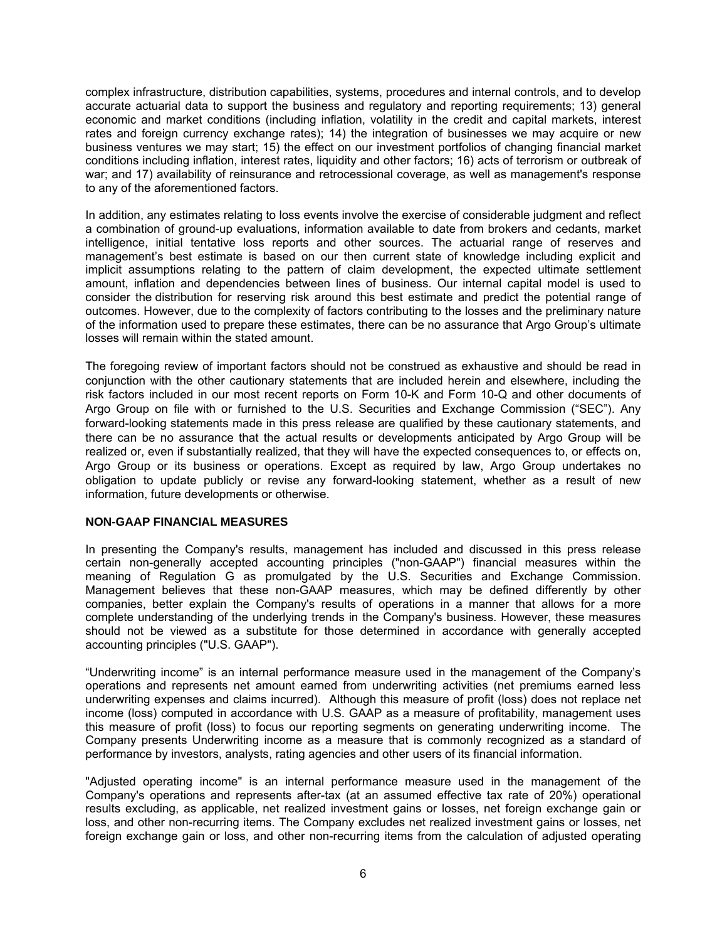complex infrastructure, distribution capabilities, systems, procedures and internal controls, and to develop accurate actuarial data to support the business and regulatory and reporting requirements; 13) general economic and market conditions (including inflation, volatility in the credit and capital markets, interest rates and foreign currency exchange rates); 14) the integration of businesses we may acquire or new business ventures we may start; 15) the effect on our investment portfolios of changing financial market conditions including inflation, interest rates, liquidity and other factors; 16) acts of terrorism or outbreak of war; and 17) availability of reinsurance and retrocessional coverage, as well as management's response to any of the aforementioned factors.

In addition, any estimates relating to loss events involve the exercise of considerable judgment and reflect a combination of ground-up evaluations, information available to date from brokers and cedants, market intelligence, initial tentative loss reports and other sources. The actuarial range of reserves and management's best estimate is based on our then current state of knowledge including explicit and implicit assumptions relating to the pattern of claim development, the expected ultimate settlement amount, inflation and dependencies between lines of business. Our internal capital model is used to consider the distribution for reserving risk around this best estimate and predict the potential range of outcomes. However, due to the complexity of factors contributing to the losses and the preliminary nature of the information used to prepare these estimates, there can be no assurance that Argo Group's ultimate losses will remain within the stated amount.

The foregoing review of important factors should not be construed as exhaustive and should be read in conjunction with the other cautionary statements that are included herein and elsewhere, including the risk factors included in our most recent reports on Form 10-K and Form 10-Q and other documents of Argo Group on file with or furnished to the U.S. Securities and Exchange Commission ("SEC"). Any forward-looking statements made in this press release are qualified by these cautionary statements, and there can be no assurance that the actual results or developments anticipated by Argo Group will be realized or, even if substantially realized, that they will have the expected consequences to, or effects on, Argo Group or its business or operations. Except as required by law, Argo Group undertakes no obligation to update publicly or revise any forward-looking statement, whether as a result of new information, future developments or otherwise.

#### **NON-GAAP FINANCIAL MEASURES**

In presenting the Company's results, management has included and discussed in this press release certain non-generally accepted accounting principles ("non-GAAP") financial measures within the meaning of Regulation G as promulgated by the U.S. Securities and Exchange Commission. Management believes that these non-GAAP measures, which may be defined differently by other companies, better explain the Company's results of operations in a manner that allows for a more complete understanding of the underlying trends in the Company's business. However, these measures should not be viewed as a substitute for those determined in accordance with generally accepted accounting principles ("U.S. GAAP").

"Underwriting income" is an internal performance measure used in the management of the Company's operations and represents net amount earned from underwriting activities (net premiums earned less underwriting expenses and claims incurred). Although this measure of profit (loss) does not replace net income (loss) computed in accordance with U.S. GAAP as a measure of profitability, management uses this measure of profit (loss) to focus our reporting segments on generating underwriting income. The Company presents Underwriting income as a measure that is commonly recognized as a standard of performance by investors, analysts, rating agencies and other users of its financial information.

"Adjusted operating income" is an internal performance measure used in the management of the Company's operations and represents after-tax (at an assumed effective tax rate of 20%) operational results excluding, as applicable, net realized investment gains or losses, net foreign exchange gain or loss, and other non-recurring items. The Company excludes net realized investment gains or losses, net foreign exchange gain or loss, and other non-recurring items from the calculation of adjusted operating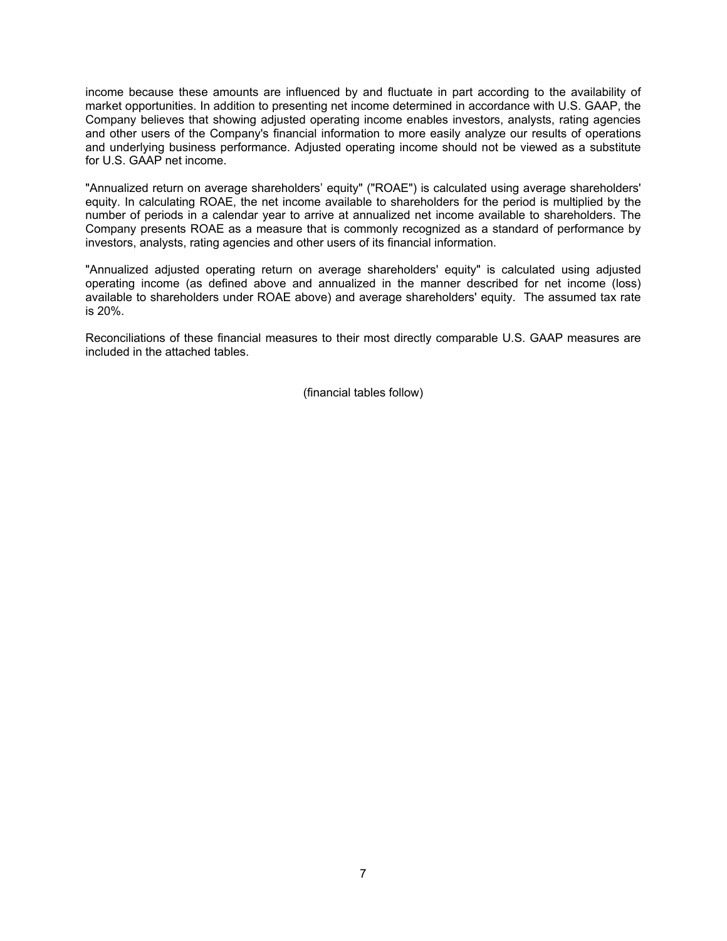income because these amounts are influenced by and fluctuate in part according to the availability of market opportunities. In addition to presenting net income determined in accordance with U.S. GAAP, the Company believes that showing adjusted operating income enables investors, analysts, rating agencies and other users of the Company's financial information to more easily analyze our results of operations and underlying business performance. Adjusted operating income should not be viewed as a substitute for U.S. GAAP net income.

"Annualized return on average shareholders' equity" ("ROAE") is calculated using average shareholders' equity. In calculating ROAE, the net income available to shareholders for the period is multiplied by the number of periods in a calendar year to arrive at annualized net income available to shareholders. The Company presents ROAE as a measure that is commonly recognized as a standard of performance by investors, analysts, rating agencies and other users of its financial information.

"Annualized adjusted operating return on average shareholders' equity" is calculated using adjusted operating income (as defined above and annualized in the manner described for net income (loss) available to shareholders under ROAE above) and average shareholders' equity. The assumed tax rate is 20%.

Reconciliations of these financial measures to their most directly comparable U.S. GAAP measures are included in the attached tables.

(financial tables follow)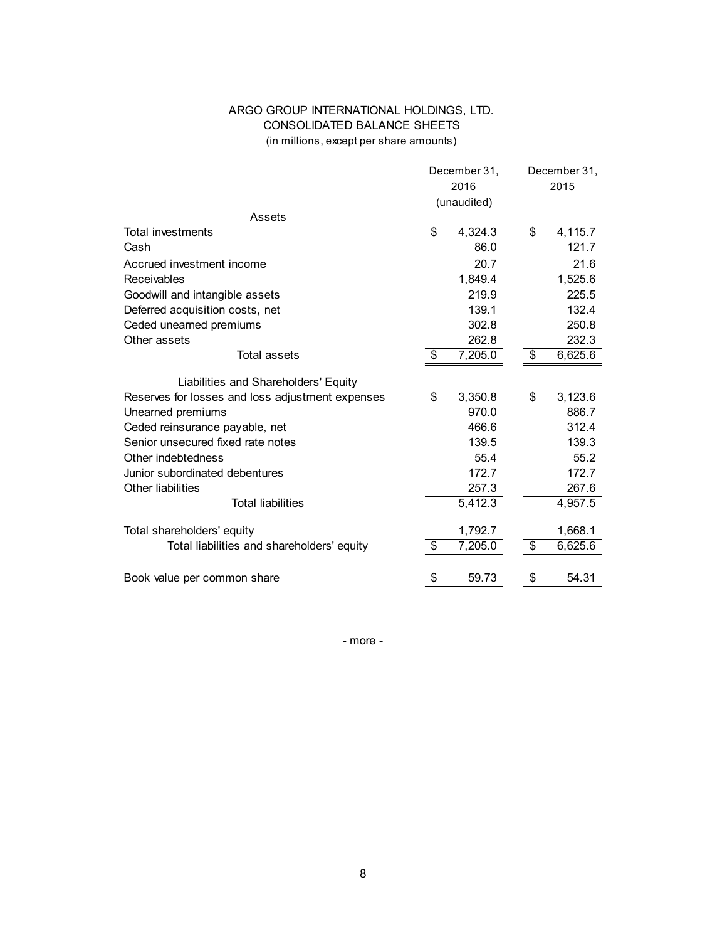## ARGO GROUP INTERNATIONAL HOLDINGS, LTD. CONSOLIDATED BALANCE SHEETS (in millions, except per share amounts)

|                                                  | December 31,         | December 31, |         |  |
|--------------------------------------------------|----------------------|--------------|---------|--|
|                                                  | 2016                 |              | 2015    |  |
|                                                  | (unaudited)          |              |         |  |
| Assets                                           |                      |              |         |  |
| Total investments                                | \$<br>4,324.3        | \$           | 4,115.7 |  |
| Cash                                             | 86.0                 |              | 121.7   |  |
| Accrued investment income                        | 20.7                 |              | 21.6    |  |
| Receivables                                      | 1,849.4              |              | 1,525.6 |  |
| Goodwill and intangible assets                   | 219.9                |              | 225.5   |  |
| Deferred acquisition costs, net                  | 139.1                |              | 132.4   |  |
| Ceded unearned premiums                          | 302.8                |              | 250.8   |  |
| Other assets                                     | 262.8                |              | 232.3   |  |
| Total assets                                     | \$<br>7,205.0        | \$           | 6,625.6 |  |
| Liabilities and Shareholders' Equity             |                      |              |         |  |
| Reserves for losses and loss adjustment expenses | \$<br>3,350.8        | \$           | 3,123.6 |  |
| Unearned premiums                                | 970.0                |              | 886.7   |  |
| Ceded reinsurance payable, net                   | 466.6                |              | 312.4   |  |
| Senior unsecured fixed rate notes                | 139.5                |              | 139.3   |  |
| Other indebtedness                               | 55.4                 |              | 55.2    |  |
| Junior subordinated debentures                   | 172.7                |              | 172.7   |  |
| Other liabilities                                | 257.3                |              | 267.6   |  |
| <b>Total liabilities</b>                         | $\overline{5,4}12.3$ |              | 4,957.5 |  |
| Total shareholders' equity                       | 1,792.7              |              | 1,668.1 |  |
| Total liabilities and shareholders' equity       | \$<br>7,205.0        | \$           | 6,625.6 |  |
| Book value per common share                      | \$<br>59.73          | \$           | 54.31   |  |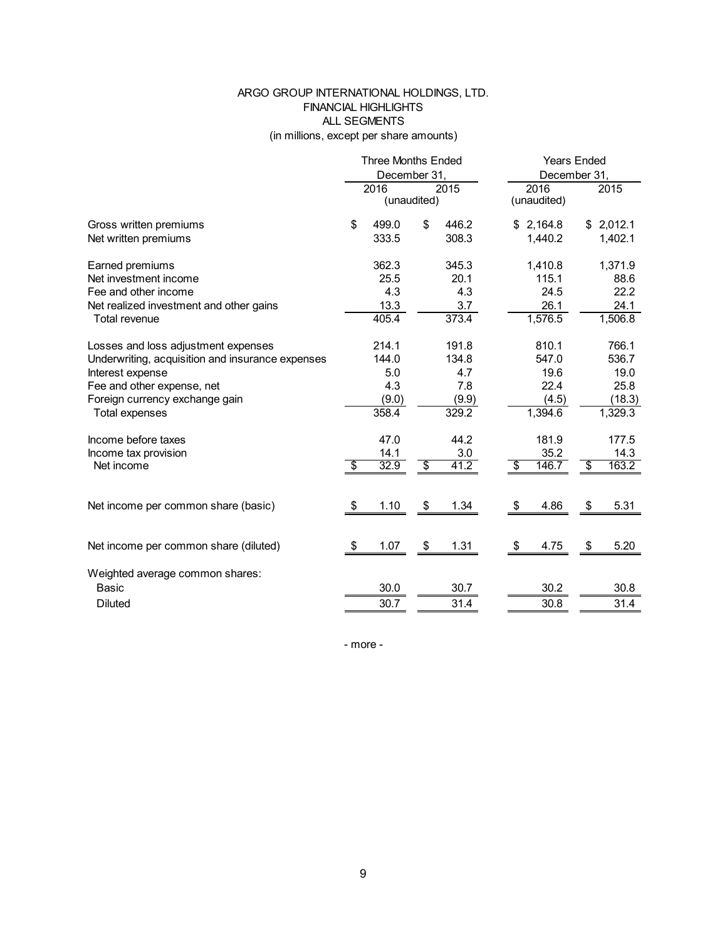## ARGO GROUP INTERNATIONAL HOLDINGS, LTD. FINANCIAL HIGHLIGHTS ALL SEGMENTS (in millions, except per share amounts)

|                                                  |                 | <b>Three Months Ended</b> |                 |       | <b>Years Ended</b> |                     |    |           |  |  |
|--------------------------------------------------|-----------------|---------------------------|-----------------|-------|--------------------|---------------------|----|-----------|--|--|
|                                                  |                 | December 31,              |                 |       |                    | December 31,        |    |           |  |  |
|                                                  |                 | 2016                      | (unaudited)     | 2015  |                    | 2016<br>(unaudited) |    | 2015      |  |  |
| Gross written premiums                           | \$              | 499.0                     | \$              | 446.2 |                    | \$2,164.8           |    | \$2,012.1 |  |  |
| Net written premiums                             |                 | 333.5                     |                 | 308.3 |                    | 1,440.2             |    | 1,402.1   |  |  |
| Earned premiums                                  |                 | 362.3                     |                 | 345.3 |                    | 1,410.8             |    | 1,371.9   |  |  |
| Net investment income                            |                 | 25.5                      |                 | 20.1  |                    | 115.1               |    | 88.6      |  |  |
| Fee and other income                             |                 | 4.3                       |                 | 4.3   |                    | 24.5                |    | 22.2      |  |  |
| Net realized investment and other gains          |                 | 13.3                      |                 | 3.7   |                    | 26.1                |    | 24.1      |  |  |
| Total revenue                                    |                 | 405.4                     |                 | 373.4 |                    | 1,576.5             |    | 1,506.8   |  |  |
| Losses and loss adjustment expenses              |                 | 214.1                     |                 | 191.8 |                    | 810.1               |    | 766.1     |  |  |
| Underwriting, acquisition and insurance expenses |                 | 144.0                     |                 | 134.8 |                    | 547.0               |    | 536.7     |  |  |
| Interest expense                                 |                 | 5.0                       |                 | 4.7   |                    | 19.6                |    | 19.0      |  |  |
| Fee and other expense, net                       |                 | 4.3                       |                 | 7.8   |                    | 22.4                |    | 25.8      |  |  |
| Foreign currency exchange gain                   |                 | (9.0)                     |                 | (9.9) |                    | (4.5)               |    | (18.3)    |  |  |
| Total expenses                                   |                 | 358.4                     |                 | 329.2 |                    | 1,394.6             |    | 1,329.3   |  |  |
| Income before taxes                              |                 | 47.0                      |                 | 44.2  |                    | 181.9               |    | 177.5     |  |  |
| Income tax provision                             |                 | 14.1                      |                 | 3.0   |                    | 35.2                |    | 14.3      |  |  |
| Net income                                       | $\overline{\$}$ | 32.9                      | $\overline{\$}$ | 41.2  |                    | \$<br>146.7         | \$ | 163.2     |  |  |
| Net income per common share (basic)              | $\frac{1}{2}$   | 1.10                      | \$              | 1.34  |                    | \$<br>4.86          | \$ | 5.31      |  |  |
| Net income per common share (diluted)            | \$              | 1.07                      | \$              | 1.31  |                    | 4.75<br>\$          | \$ | 5.20      |  |  |
| Weighted average common shares:                  |                 |                           |                 |       |                    |                     |    |           |  |  |
| Basic                                            |                 | 30.0                      |                 | 30.7  |                    | 30.2                |    | 30.8      |  |  |
| <b>Diluted</b>                                   |                 | 30.7                      |                 | 31.4  |                    | 30.8                |    | 31.4      |  |  |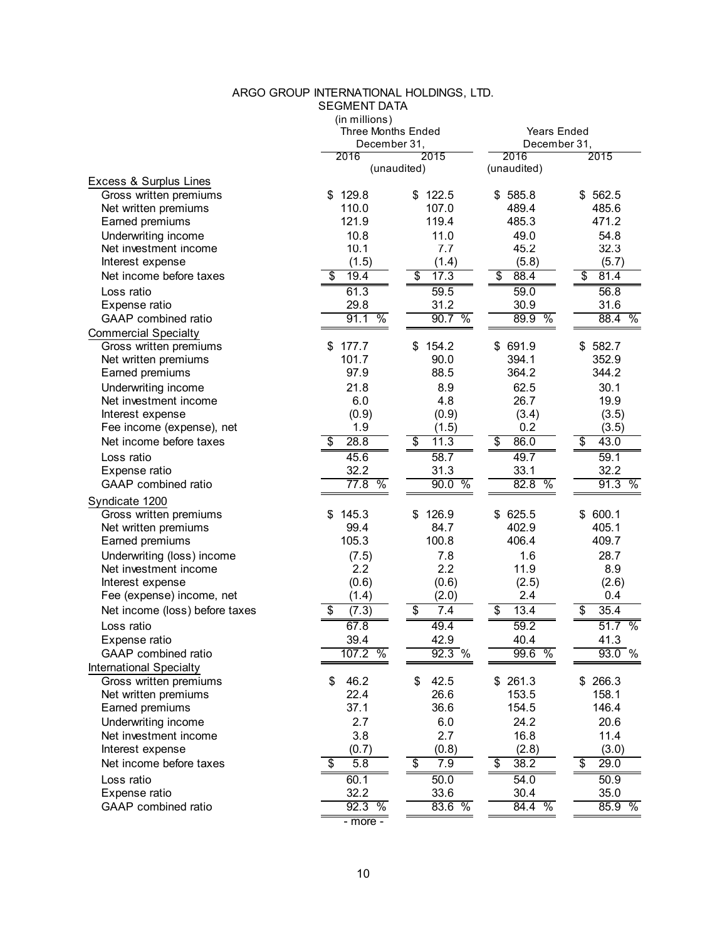## ARGO GROUP INTERNATIONAL HOLDINGS, LTD.

# SEGMENT DATA

|                                                  | (in millions)         |             |                    |                         |
|--------------------------------------------------|-----------------------|-------------|--------------------|-------------------------|
|                                                  | Three Months Ended    |             | <b>Years Ended</b> |                         |
|                                                  | December 31,          |             | December 31,       |                         |
|                                                  | 2016                  | 2015        | 2016               | 2015                    |
|                                                  | (unaudited)           |             | (unaudited)        |                         |
| Excess & Surplus Lines<br>Gross written premiums | 129.8<br>\$           | 122.5<br>\$ | \$585.8            | 562.5<br>\$             |
|                                                  | 110.0                 | 107.0       | 489.4              | 485.6                   |
| Net written premiums                             | 121.9                 |             |                    |                         |
| Earned premiums                                  |                       | 119.4       | 485.3              | 471.2                   |
| Underwriting income                              | 10.8                  | 11.0        | 49.0               | 54.8                    |
| Net investment income                            | 10.1                  | 7.7         | 45.2               | 32.3                    |
| Interest expense                                 | (1.5)                 | (1.4)       | (5.8)              | (5.7)                   |
| Net income before taxes                          | \$<br>19.4            | \$<br>17.3  | \$<br>88.4         | \$<br>81.4              |
| Loss ratio                                       | 61.3                  | 59.5        | 59.0               | 56.8                    |
| Expense ratio                                    | 29.8                  | 31.2        | 30.9               | 31.6                    |
| GAAP combined ratio                              | $\frac{0}{2}$<br>91.1 | 90.7 %      | 89.9%              | 88.4 %                  |
| <b>Commercial Specialty</b>                      |                       |             |                    |                         |
| Gross written premiums                           | \$<br>177.7           | 154.2<br>\$ | 691.9<br>\$        | 582.7<br>\$             |
| Net written premiums                             | 101.7                 | 90.0        | 394.1              | 352.9                   |
| Earned premiums                                  | 97.9                  | 88.5        | 364.2              | 344.2                   |
| Underwriting income                              | 21.8                  | 8.9         | 62.5               | 30.1                    |
| Net investment income                            | 6.0                   | 4.8         | 26.7               | 19.9                    |
| Interest expense                                 | (0.9)                 | (0.9)       | (3.4)              | (3.5)                   |
| Fee income (expense), net                        | 1.9                   | (1.5)       | 0.2                | (3.5)                   |
| Net income before taxes                          | 28.8<br>\$            | \$<br>11.3  | 86.0<br>\$         | $\overline{\$}$<br>43.0 |
| Loss ratio                                       | 45.6                  | 58.7        | 49.7               | 59.1                    |
| Expense ratio                                    | 32.2                  | 31.3        | 33.1               | 32.2                    |
| GAAP combined ratio                              | 77.8<br>$\%$          | 90.0 %      | 82.8 %             | 91.3 %                  |
| Syndicate 1200                                   |                       |             |                    |                         |
| Gross written premiums                           | 145.3<br>S            | 126.9<br>\$ | \$625.5            | \$600.1                 |
| Net written premiums                             | 99.4                  | 84.7        | 402.9              | 405.1                   |
| Earned premiums                                  | 105.3                 | 100.8       | 406.4              | 409.7                   |
| Underwriting (loss) income                       | (7.5)                 | 7.8         | 1.6                | 28.7                    |
| Net investment income                            | 2.2                   | 2.2         | 11.9               | 8.9                     |
| Interest expense                                 | (0.6)                 | (0.6)       | (2.5)              | (2.6)                   |
| Fee (expense) income, net                        | (1.4)                 | (2.0)       | 2.4                | 0.4                     |
| Net income (loss) before taxes                   | (7.3)<br>\$           | \$<br>7.4   | \$<br>13.4         | \$<br>35.4              |
| Loss ratio                                       | 67.8                  | 49.4        | 59.2               | 51.7%                   |
| Expense ratio                                    | 39.4                  | 42.9        | 40.4               | 41.3                    |
| GAAP combined ratio                              | 107.2 %               | $92.3\%$    | 99.6 %             | 93.0%                   |
| International Specialty                          |                       |             |                    |                         |
| Gross written premiums                           | 46.2<br>\$            | 42.5<br>\$  | \$261.3            | \$266.3                 |
| Net written premiums                             | 22.4                  | 26.6        | 153.5              | 158.1                   |
| Earned premiums                                  | 37.1                  | 36.6        | 154.5              | 146.4                   |
| Underwriting income                              | 2.7                   | 6.0         | 24.2               | 20.6                    |
| Net investment income                            | 3.8                   | 2.7         | 16.8               | 11.4                    |
| Interest expense                                 | (0.7)                 | (0.8)       | (2.8)              | (3.0)                   |
| Net income before taxes                          | 5.8                   | \$<br>7.9   | \$<br>38.2         | \$                      |
|                                                  | \$                    |             |                    | 29.0                    |
| Loss ratio                                       | 60.1                  | 50.0        | 54.0               | 50.9                    |
| Expense ratio                                    | 32.2                  | 33.6        | 30.4               | 35.0                    |
| GAAP combined ratio                              | $92.3\%$              | 83.6 %      | 84.4 %             | 85.9 %                  |
|                                                  | $-$ more $-$          |             |                    |                         |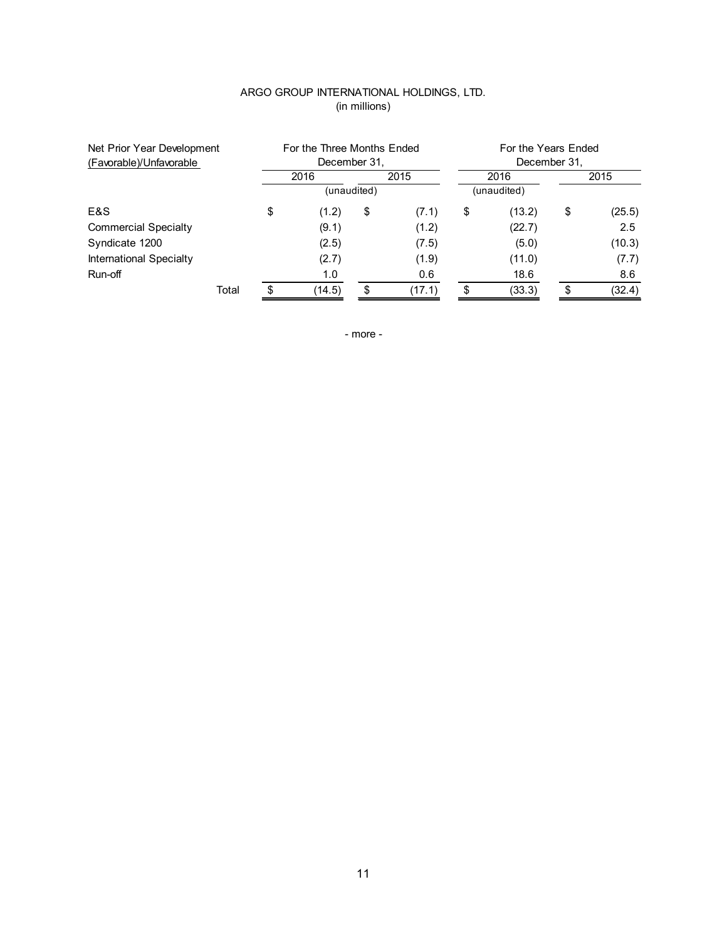| ARGO GROUP INTERNATIONAL HOLDINGS. LTD. |  |
|-----------------------------------------|--|
| (in millions)                           |  |

| Net Prior Year Development<br>(Favorable)/Unfavorable | For the Three Months Ended<br>December 31, |              |             | For the Years Ended<br>December 31, |      |             |     |        |
|-------------------------------------------------------|--------------------------------------------|--------------|-------------|-------------------------------------|------|-------------|-----|--------|
|                                                       |                                            | 2016         | 2015        |                                     | 2016 |             |     | 2015   |
|                                                       |                                            |              | (unaudited) |                                     |      | (unaudited) |     |        |
| E&S                                                   |                                            | \$<br>(1.2)  | \$          | (7.1)                               | \$   | (13.2)      | \$  | (25.5) |
| <b>Commercial Specialty</b>                           |                                            | (9.1)        |             | (1.2)                               |      | (22.7)      |     | 2.5    |
| Syndicate 1200                                        |                                            | (2.5)        |             | (7.5)                               |      | (5.0)       |     | (10.3) |
| International Specialty                               |                                            | (2.7)        |             | (1.9)                               |      | (11.0)      |     | (7.7)  |
| Run-off                                               |                                            | 1.0          |             | 0.6                                 |      | 18.6        |     | 8.6    |
|                                                       | Total                                      | \$<br>(14.5) | \$          | (17.1)                              | \$.  | (33.3)      | \$. | (32.4) |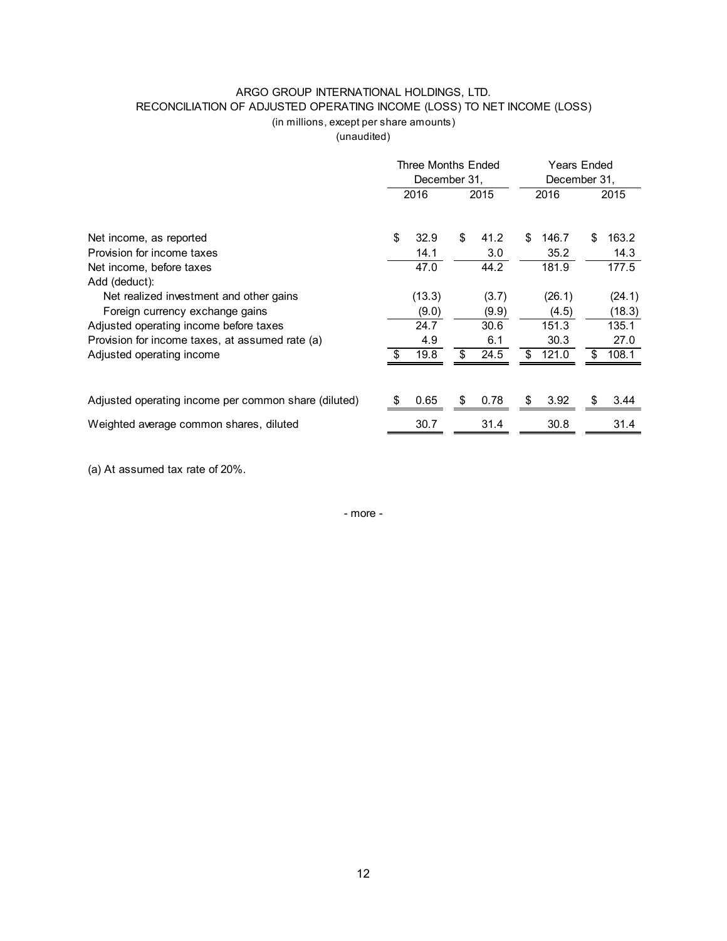## ARGO GROUP INTERNATIONAL HOLDINGS, LTD. RECONCILIATION OF ADJUSTED OPERATING INCOME (LOSS) TO NET INCOME (LOSS) (in millions, except per share amounts)

(unaudited)

|                                                      |      | Three Months Ended<br>December 31. |      |                  | Years Ended<br>December 31. |        |      |        |
|------------------------------------------------------|------|------------------------------------|------|------------------|-----------------------------|--------|------|--------|
|                                                      | 2016 |                                    | 2015 |                  | 2016                        |        | 2015 |        |
| Net income, as reported                              | \$   | 32.9                               | \$   | 41.2             | \$                          | 146.7  | \$   | 163.2  |
| Provision for income taxes                           |      | 14.1                               |      | 3.0 <sub>2</sub> |                             | 35.2   |      | 14.3   |
| Net income, before taxes                             |      | 47.0                               |      | 44.2             |                             | 181.9  |      | 177.5  |
| Add (deduct):                                        |      |                                    |      |                  |                             |        |      |        |
| Net realized investment and other gains              |      | (13.3)                             |      | (3.7)            |                             | (26.1) |      | (24.1) |
| Foreign currency exchange gains                      |      | (9.0)                              |      | (9.9)            |                             | (4.5)  |      | (18.3) |
| Adjusted operating income before taxes               |      | 24.7                               |      | 30.6             |                             | 151.3  |      | 135.1  |
| Provision for income taxes, at assumed rate (a)      |      | 4.9                                |      | 6.1              |                             | 30.3   |      | 27.0   |
| Adjusted operating income                            |      | 19.8                               | \$.  | 24.5             |                             | 121.0  |      | 108.1  |
| Adjusted operating income per common share (diluted) |      | 0.65                               | \$   | 0.78             |                             | 3.92   | \$   | 3.44   |
| Weighted average common shares, diluted              |      | 30.7                               |      | 31.4             |                             | 30.8   |      | 31.4   |

(a) At assumed tax rate of 20%.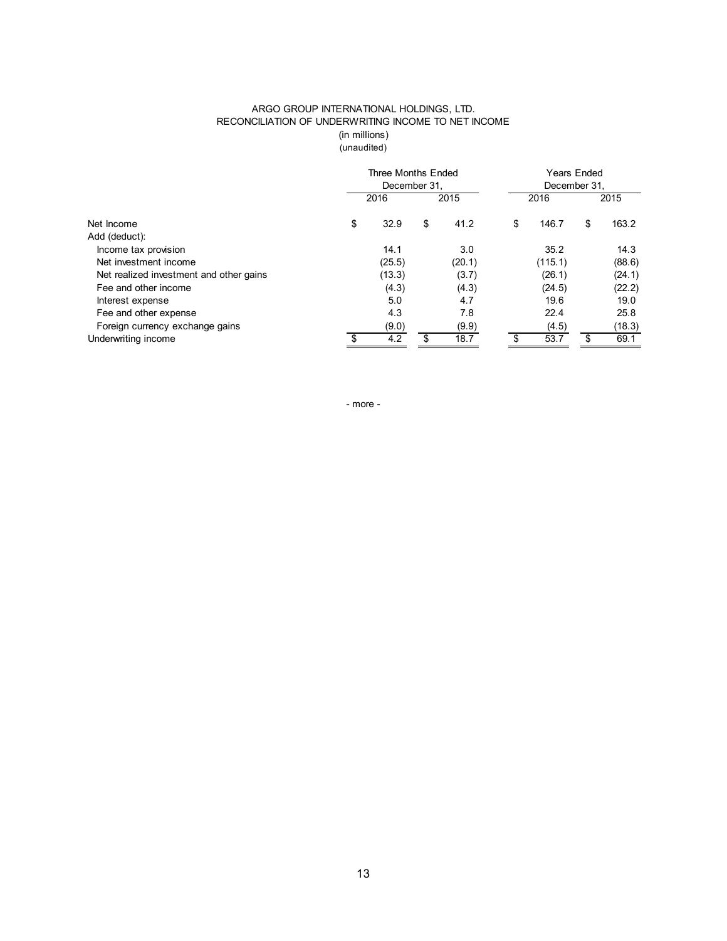#### ARGO GROUP INTERNATIONAL HOLDINGS, LTD. RECONCILIATION OF UNDERWRITING INCOME TO NET INCOME (in millions) (unaudited)

|                                         | Three Months Ended | <b>Years Ended</b><br>December 31. |            |    |         |    |        |
|-----------------------------------------|--------------------|------------------------------------|------------|----|---------|----|--------|
|                                         |                    | 2016                               | 2015       |    | 2016    |    | 2015   |
| Net Income                              | \$                 | 32.9                               | \$<br>41.2 | \$ | 146.7   | \$ | 163.2  |
| Add (deduct):                           |                    |                                    |            |    |         |    |        |
| Income tax provision                    |                    | 14.1                               | 3.0        |    | 35.2    |    | 14.3   |
| Net investment income                   |                    | (25.5)                             | (20.1)     |    | (115.1) |    | (88.6) |
| Net realized investment and other gains |                    | (13.3)                             | (3.7)      |    | (26.1)  |    | (24.1) |
| Fee and other income                    |                    | (4.3)                              | (4.3)      |    | (24.5)  |    | (22.2) |
| Interest expense                        |                    | 5.0                                | 4.7        |    | 19.6    |    | 19.0   |
| Fee and other expense                   |                    | 4.3                                | 7.8        |    | 22.4    |    | 25.8   |
| Foreign currency exchange gains         |                    | (9.0)                              | (9.9)      |    | (4.5)   |    | (18.3) |
| Underwriting income                     | \$                 | 4.2                                | \$<br>18.7 | \$ | 53.7    | \$ | 69.1   |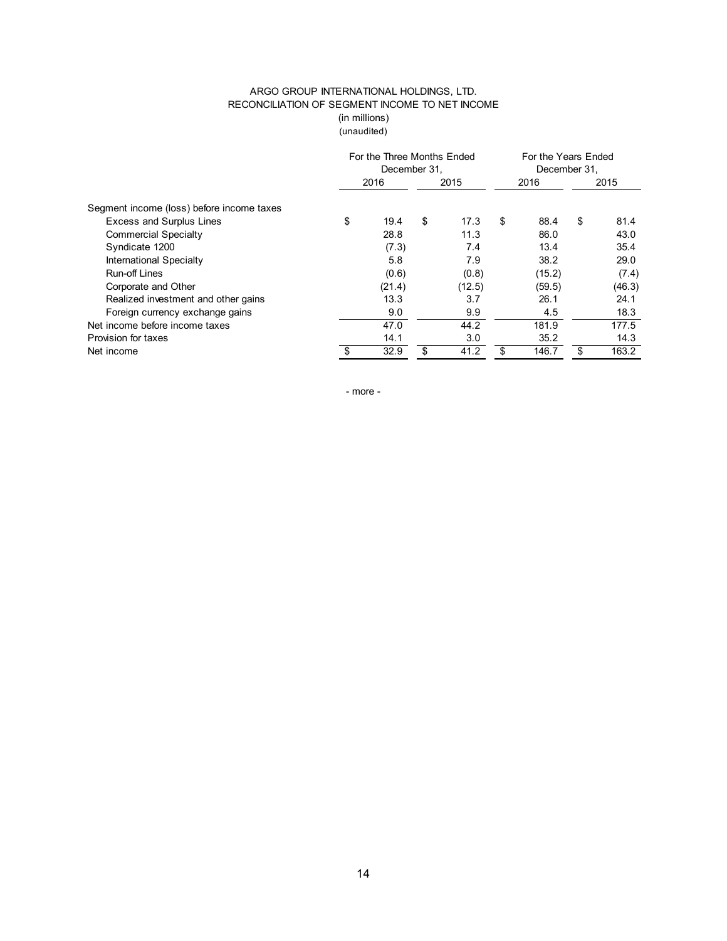## ARGO GROUP INTERNATIONAL HOLDINGS, LTD. RECONCILIATION OF SEGMENT INCOME TO NET INCOME (in millions)

(unaudited)

|                                           | For the Three Months Ended<br>December 31. |        |    |        |    | For the Years Ended<br>December 31. |    |        |  |
|-------------------------------------------|--------------------------------------------|--------|----|--------|----|-------------------------------------|----|--------|--|
|                                           |                                            | 2016   |    | 2015   |    | 2016                                |    | 2015   |  |
| Segment income (loss) before income taxes |                                            |        |    |        |    |                                     |    |        |  |
| <b>Excess and Surplus Lines</b>           | \$                                         | 19.4   | \$ | 17.3   | \$ | 88.4                                | \$ | 81.4   |  |
| <b>Commercial Specialty</b>               |                                            | 28.8   |    | 11.3   |    | 86.0                                |    | 43.0   |  |
| Syndicate 1200                            |                                            | (7.3)  |    | 7.4    |    | 13.4                                |    | 35.4   |  |
| <b>International Specialty</b>            |                                            | 5.8    |    | 7.9    |    | 38.2                                |    | 29.0   |  |
| <b>Run-off Lines</b>                      |                                            | (0.6)  |    | (0.8)  |    | (15.2)                              |    | (7.4)  |  |
| Corporate and Other                       |                                            | (21.4) |    | (12.5) |    | (59.5)                              |    | (46.3) |  |
| Realized investment and other gains       |                                            | 13.3   |    | 3.7    |    | 26.1                                |    | 24.1   |  |
| Foreign currency exchange gains           |                                            | 9.0    |    | 9.9    |    | 4.5                                 |    | 18.3   |  |
| Net income before income taxes            |                                            | 47.0   |    | 44.2   |    | 181.9                               |    | 177.5  |  |
| Provision for taxes                       |                                            | 14.1   |    | 3.0    |    | 35.2                                |    | 14.3   |  |
| Net income                                | \$                                         | 32.9   | \$ | 41.2   | \$ | 146.7                               | \$ | 163.2  |  |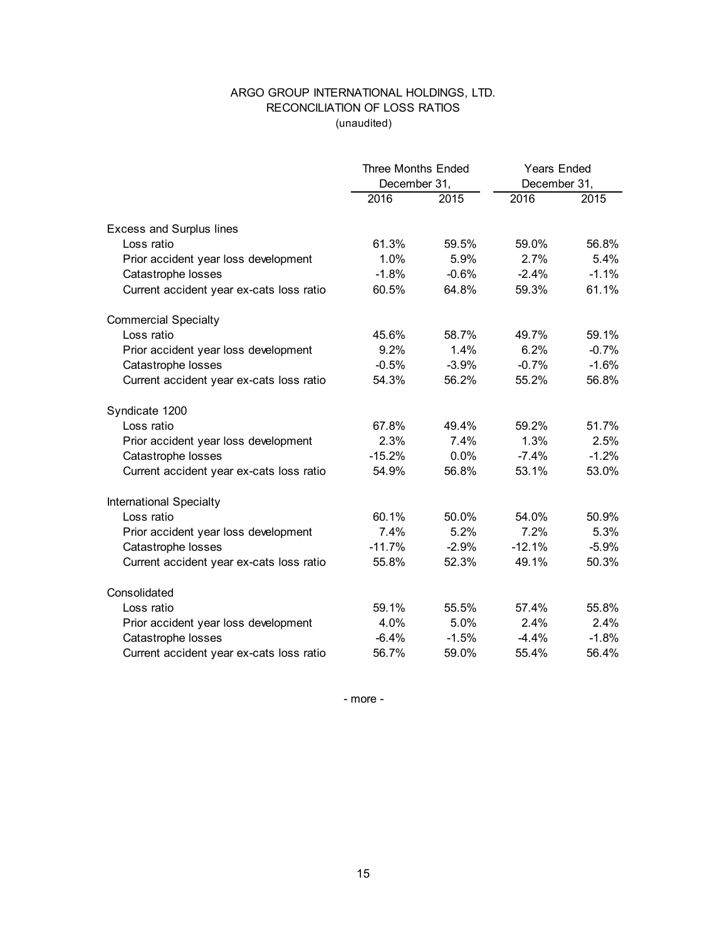## ARGO GROUP INTERNATIONAL HOLDINGS, LTD. RECONCILIATION OF LOSS RATIOS (unaudited)

|                                          |              | <b>Three Months Ended</b><br><b>Years Ended</b> |              |         |  |
|------------------------------------------|--------------|-------------------------------------------------|--------------|---------|--|
|                                          | December 31, |                                                 | December 31, |         |  |
|                                          | 2016         | 2015                                            | 2016         | 2015    |  |
| Excess and Surplus lines                 |              |                                                 |              |         |  |
| Loss ratio                               | 61.3%        | 59.5%                                           | 59.0%        | 56.8%   |  |
| Prior accident year loss development     | 1.0%         | 5.9%                                            | 2.7%         | 5.4%    |  |
| Catastrophe losses                       | $-1.8%$      | $-0.6%$                                         | $-2.4%$      | $-1.1%$ |  |
| Current accident year ex-cats loss ratio | 60.5%        | 64.8%                                           | 59.3%        | 61.1%   |  |
| <b>Commercial Specialty</b>              |              |                                                 |              |         |  |
| Loss ratio                               | 45.6%        | 58.7%                                           | 49.7%        | 59.1%   |  |
| Prior accident year loss development     | 9.2%         | 1.4%                                            | 6.2%         | $-0.7%$ |  |
| Catastrophe losses                       | $-0.5%$      | $-3.9%$                                         | $-0.7%$      | $-1.6%$ |  |
| Current accident year ex-cats loss ratio | 54.3%        | 56.2%                                           | 55.2%        | 56.8%   |  |
| Syndicate 1200                           |              |                                                 |              |         |  |
| Loss ratio                               | 67.8%        | 49.4%                                           | 59.2%        | 51.7%   |  |
| Prior accident year loss development     | 2.3%         | 7.4%                                            | 1.3%         | 2.5%    |  |
| Catastrophe losses                       | $-15.2%$     | 0.0%                                            | $-7.4%$      | $-1.2%$ |  |
| Current accident year ex-cats loss ratio | 54.9%        | 56.8%                                           | 53.1%        | 53.0%   |  |
| International Specialty                  |              |                                                 |              |         |  |
| Loss ratio                               | 60.1%        | 50.0%                                           | 54.0%        | 50.9%   |  |
| Prior accident year loss development     | 7.4%         | 5.2%                                            | 7.2%         | 5.3%    |  |
| Catastrophe losses                       | $-11.7%$     | $-2.9%$                                         | $-12.1%$     | $-5.9%$ |  |
| Current accident year ex-cats loss ratio | 55.8%        | 52.3%                                           | 49.1%        | 50.3%   |  |
| Consolidated                             |              |                                                 |              |         |  |
| Loss ratio                               | 59.1%        | 55.5%                                           | 57.4%        | 55.8%   |  |
| Prior accident year loss development     | 4.0%         | 5.0%                                            | 2.4%         | 2.4%    |  |
| Catastrophe losses                       | $-6.4%$      | $-1.5%$                                         | $-4.4%$      | $-1.8%$ |  |
| Current accident year ex-cats loss ratio | 56.7%        | 59.0%                                           | 55.4%        | 56.4%   |  |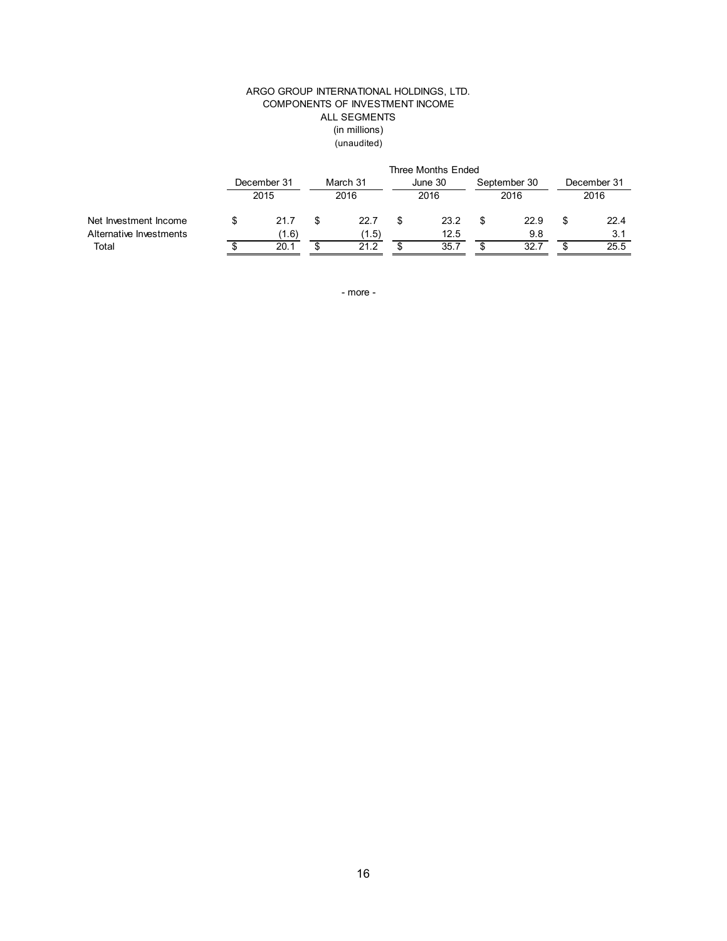#### ARGO GROUP INTERNATIONAL HOLDINGS, LTD. COMPONENTS OF INVESTMENT INCOME ALL SEGMENTS (in millions) (unaudited)

|                         |   | Three Months Ended |   |          |  |         |   |              |             |      |  |  |  |
|-------------------------|---|--------------------|---|----------|--|---------|---|--------------|-------------|------|--|--|--|
|                         |   | December 31        |   | March 31 |  | June 30 |   | September 30 | December 31 |      |  |  |  |
|                         |   | 2015               |   | 2016     |  | 2016    |   | 2016         |             | 2016 |  |  |  |
| Net Investment Income   | S | 21.7               | S | 22.7     |  | 23.2    | S | 22.9         |             | 22.4 |  |  |  |
| Alternative Investments |   | (1.6)              |   | (1.5)    |  | 12.5    |   | 9.8          |             | 3.1  |  |  |  |
| Total                   |   | 20.1               |   | 21.2     |  | 35.7    | S | 32.7         |             | 25.5 |  |  |  |